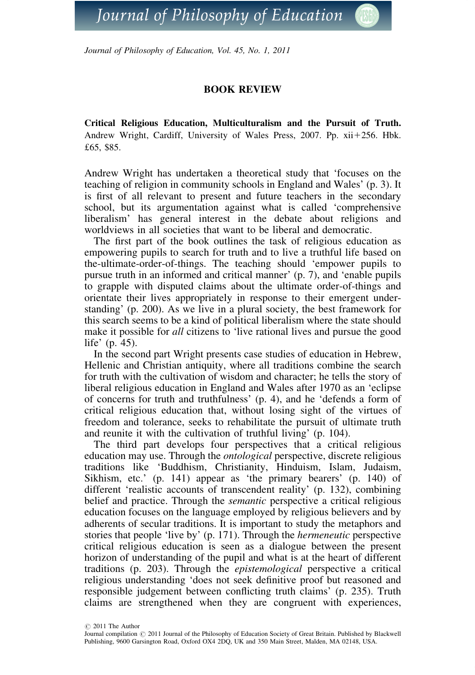Journal of Philosophy of Education, Vol. 45, No. 1, 2011

## BOOK REVIEW

Critical Religious Education, Multiculturalism and the Pursuit of Truth. Andrew Wright, Cardiff, University of Wales Press,  $2007$ . Pp.  $xii+256$ . Hbk. £65, \$85.

Andrew Wright has undertaken a theoretical study that 'focuses on the teaching of religion in community schools in England and Wales' (p. 3). It is first of all relevant to present and future teachers in the secondary school, but its argumentation against what is called 'comprehensive liberalism' has general interest in the debate about religions and worldviews in all societies that want to be liberal and democratic.

The first part of the book outlines the task of religious education as empowering pupils to search for truth and to live a truthful life based on the-ultimate-order-of-things. The teaching should 'empower pupils to pursue truth in an informed and critical manner' (p. 7), and 'enable pupils to grapple with disputed claims about the ultimate order-of-things and orientate their lives appropriately in response to their emergent understanding' (p. 200). As we live in a plural society, the best framework for this search seems to be a kind of political liberalism where the state should make it possible for *all* citizens to 'live rational lives and pursue the good life' (p. 45).

In the second part Wright presents case studies of education in Hebrew, Hellenic and Christian antiquity, where all traditions combine the search for truth with the cultivation of wisdom and character; he tells the story of liberal religious education in England and Wales after 1970 as an 'eclipse of concerns for truth and truthfulness' (p. 4), and he 'defends a form of critical religious education that, without losing sight of the virtues of freedom and tolerance, seeks to rehabilitate the pursuit of ultimate truth and reunite it with the cultivation of truthful living' (p. 104).

The third part develops four perspectives that a critical religious education may use. Through the ontological perspective, discrete religious traditions like 'Buddhism, Christianity, Hinduism, Islam, Judaism, Sikhism, etc.' (p. 141) appear as 'the primary bearers' (p. 140) of different 'realistic accounts of transcendent reality' (p. 132), combining belief and practice. Through the semantic perspective a critical religious education focuses on the language employed by religious believers and by adherents of secular traditions. It is important to study the metaphors and stories that people 'live by' (p. 171). Through the *hermeneutic* perspective critical religious education is seen as a dialogue between the present horizon of understanding of the pupil and what is at the heart of different traditions (p. 203). Through the epistemological perspective a critical religious understanding 'does not seek definitive proof but reasoned and responsible judgement between conflicting truth claims' (p. 235). Truth claims are strengthened when they are congruent with experiences,

 $\odot$  2011 The Author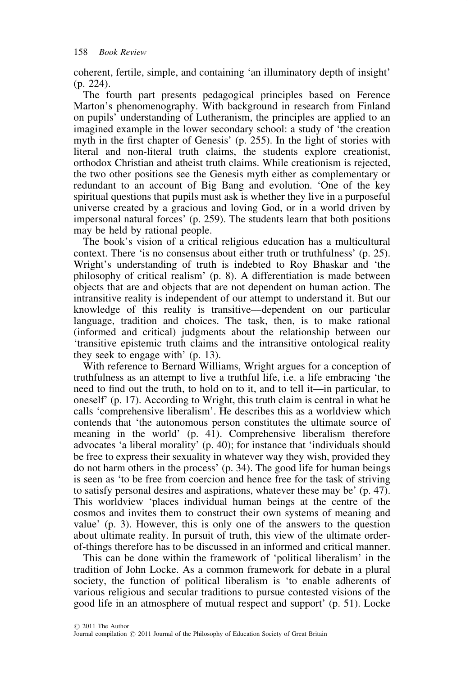coherent, fertile, simple, and containing 'an illuminatory depth of insight' (p. 224).

The fourth part presents pedagogical principles based on Ference Marton's phenomenography. With background in research from Finland on pupils' understanding of Lutheranism, the principles are applied to an imagined example in the lower secondary school: a study of 'the creation myth in the first chapter of Genesis' (p. 255). In the light of stories with literal and non-literal truth claims, the students explore creationist, orthodox Christian and atheist truth claims. While creationism is rejected, the two other positions see the Genesis myth either as complementary or redundant to an account of Big Bang and evolution. 'One of the key spiritual questions that pupils must ask is whether they live in a purposeful universe created by a gracious and loving God, or in a world driven by impersonal natural forces' (p. 259). The students learn that both positions may be held by rational people.

The book's vision of a critical religious education has a multicultural context. There 'is no consensus about either truth or truthfulness' (p. 25). Wright's understanding of truth is indebted to Roy Bhaskar and 'the philosophy of critical realism' (p. 8). A differentiation is made between objects that are and objects that are not dependent on human action. The intransitive reality is independent of our attempt to understand it. But our knowledge of this reality is transitive––dependent on our particular language, tradition and choices. The task, then, is to make rational (informed and critical) judgments about the relationship between our 'transitive epistemic truth claims and the intransitive ontological reality they seek to engage with' (p. 13).

With reference to Bernard Williams, Wright argues for a conception of truthfulness as an attempt to live a truthful life, i.e. a life embracing 'the need to find out the truth, to hold on to it, and to tell it—in particular, to oneself' (p. 17). According to Wright, this truth claim is central in what he calls 'comprehensive liberalism'. He describes this as a worldview which contends that 'the autonomous person constitutes the ultimate source of meaning in the world' (p. 41). Comprehensive liberalism therefore advocates 'a liberal morality' (p. 40); for instance that 'individuals should be free to express their sexuality in whatever way they wish, provided they do not harm others in the process' (p. 34). The good life for human beings is seen as 'to be free from coercion and hence free for the task of striving to satisfy personal desires and aspirations, whatever these may be' (p. 47). This worldview 'places individual human beings at the centre of the cosmos and invites them to construct their own systems of meaning and value' (p. 3). However, this is only one of the answers to the question about ultimate reality. In pursuit of truth, this view of the ultimate orderof-things therefore has to be discussed in an informed and critical manner.

This can be done within the framework of 'political liberalism' in the tradition of John Locke. As a common framework for debate in a plural society, the function of political liberalism is 'to enable adherents of various religious and secular traditions to pursue contested visions of the good life in an atmosphere of mutual respect and support' (p. 51). Locke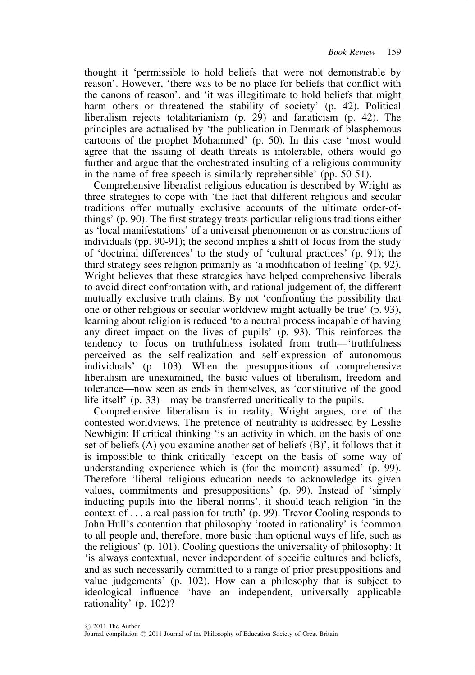thought it 'permissible to hold beliefs that were not demonstrable by reason'. However, 'there was to be no place for beliefs that conflict with the canons of reason', and 'it was illegitimate to hold beliefs that might harm others or threatened the stability of society' (p. 42). Political liberalism rejects totalitarianism (p. 29) and fanaticism (p. 42). The principles are actualised by 'the publication in Denmark of blasphemous cartoons of the prophet Mohammed' (p. 50). In this case 'most would agree that the issuing of death threats is intolerable, others would go further and argue that the orchestrated insulting of a religious community in the name of free speech is similarly reprehensible' (pp. 50-51).

Comprehensive liberalist religious education is described by Wright as three strategies to cope with 'the fact that different religious and secular traditions offer mutually exclusive accounts of the ultimate order-ofthings' (p. 90). The first strategy treats particular religious traditions either as 'local manifestations' of a universal phenomenon or as constructions of individuals (pp. 90-91); the second implies a shift of focus from the study of 'doctrinal differences' to the study of 'cultural practices' (p. 91); the third strategy sees religion primarily as 'a modification of feeling' (p. 92). Wright believes that these strategies have helped comprehensive liberals to avoid direct confrontation with, and rational judgement of, the different mutually exclusive truth claims. By not 'confronting the possibility that one or other religious or secular worldview might actually be true' (p. 93), learning about religion is reduced 'to a neutral process incapable of having any direct impact on the lives of pupils' (p. 93). This reinforces the tendency to focus on truthfulness isolated from truth––'truthfulness perceived as the self-realization and self-expression of autonomous individuals' (p. 103). When the presuppositions of comprehensive liberalism are unexamined, the basic values of liberalism, freedom and tolerance—now seen as ends in themselves, as 'constitutive of the good life itself' (p. 33)—may be transferred uncritically to the pupils.

Comprehensive liberalism is in reality, Wright argues, one of the contested worldviews. The pretence of neutrality is addressed by Lesslie Newbigin: If critical thinking 'is an activity in which, on the basis of one set of beliefs (A) you examine another set of beliefs (B)', it follows that it is impossible to think critically 'except on the basis of some way of understanding experience which is (for the moment) assumed' (p. 99). Therefore 'liberal religious education needs to acknowledge its given values, commitments and presuppositions' (p. 99). Instead of 'simply inducting pupils into the liberal norms', it should teach religion 'in the context of . . . a real passion for truth' (p. 99). Trevor Cooling responds to John Hull's contention that philosophy 'rooted in rationality' is 'common to all people and, therefore, more basic than optional ways of life, such as the religious' (p. 101). Cooling questions the universality of philosophy: It 'is always contextual, never independent of specific cultures and beliefs, and as such necessarily committed to a range of prior presuppositions and value judgements' (p. 102). How can a philosophy that is subject to ideological influence 'have an independent, universally applicable rationality' (p. 102)?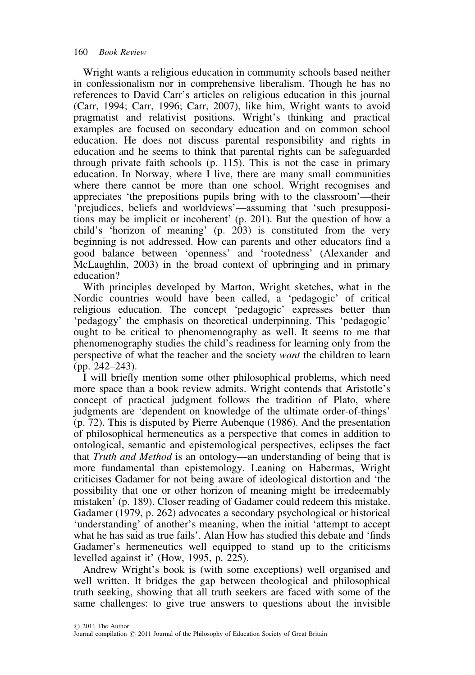Wright wants a religious education in community schools based neither in confessionalism nor in comprehensive liberalism. Though he has no references to David Carr's articles on religious education in this journal (Carr, 1994; Carr, 1996; Carr, 2007), like him, Wright wants to avoid pragmatist and relativist positions. Wright's thinking and practical examples are focused on secondary education and on common school education. He does not discuss parental responsibility and rights in education and he seems to think that parental rights can be safeguarded through private faith schools (p. 115). This is not the case in primary education. In Norway, where I live, there are many small communities where there cannot be more than one school. Wright recognises and appreciates 'the prepositions pupils bring with to the classroom'—their 'prejudices, beliefs and worldviews'—assuming that 'such presuppositions may be implicit or incoherent' (p. 201). But the question of how a child's 'horizon of meaning' (p. 203) is constituted from the very beginning is not addressed. How can parents and other educators find a good balance between 'openness' and 'rootedness' (Alexander and McLaughlin, 2003) in the broad context of upbringing and in primary education?

With principles developed by Marton, Wright sketches, what in the Nordic countries would have been called, a 'pedagogic' of critical religious education. The concept 'pedagogic' expresses better than 'pedagogy' the emphasis on theoretical underpinning. This 'pedagogic' ought to be critical to phenomenography as well. It seems to me that phenomenography studies the child's readiness for learning only from the perspective of what the teacher and the society want the children to learn (pp. 242–243).

I will briefly mention some other philosophical problems, which need more space than a book review admits. Wright contends that Aristotle's concept of practical judgment follows the tradition of Plato, where judgments are 'dependent on knowledge of the ultimate order-of-things' (p. 72). This is disputed by Pierre Aubenque (1986). And the presentation of philosophical hermeneutics as a perspective that comes in addition to ontological, semantic and epistemological perspectives, eclipses the fact that Truth and Method is an ontology—an understanding of being that is more fundamental than epistemology. Leaning on Habermas, Wright criticises Gadamer for not being aware of ideological distortion and 'the possibility that one or other horizon of meaning might be irredeemably mistaken' (p. 189). Closer reading of Gadamer could redeem this mistake. Gadamer (1979, p. 262) advocates a secondary psychological or historical 'understanding' of another's meaning, when the initial 'attempt to accept what he has said as true fails'. Alan How has studied this debate and 'finds Gadamer's hermeneutics well equipped to stand up to the criticisms levelled against it' (How, 1995, p. 225).

Andrew Wright's book is (with some exceptions) well organised and well written. It bridges the gap between theological and philosophical truth seeking, showing that all truth seekers are faced with some of the same challenges: to give true answers to questions about the invisible